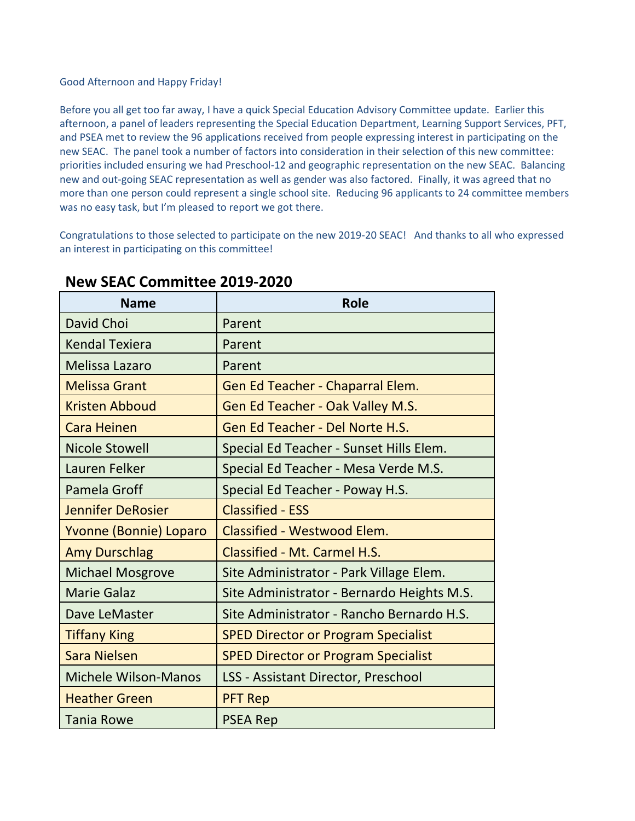## Good Afternoon and Happy Friday!

Before you all get too far away, I have a quick Special Education Advisory Committee update. Earlier this afternoon, a panel of leaders representing the Special Education Department, Learning Support Services, PFT, and PSEA met to review the 96 applications received from people expressing interest in participating on the new SEAC. The panel took a number of factors into consideration in their selection of this new committee: priorities included ensuring we had Preschool-12 and geographic representation on the new SEAC. Balancing new and out-going SEAC representation as well as gender was also factored. Finally, it was agreed that no more than one person could represent a single school site. Reducing 96 applicants to 24 committee members was no easy task, but I'm pleased to report we got there.

Congratulations to those selected to participate on the new 2019-20 SEAC! And thanks to all who expressed an interest in participating on this committee!

| <b>Name</b>                 | <b>Role</b>                                |
|-----------------------------|--------------------------------------------|
| David Choi                  | Parent                                     |
| <b>Kendal Texiera</b>       | Parent                                     |
| <b>Melissa Lazaro</b>       | Parent                                     |
| <b>Melissa Grant</b>        | Gen Ed Teacher - Chaparral Elem.           |
| <b>Kristen Abboud</b>       | Gen Ed Teacher - Oak Valley M.S.           |
| <b>Cara Heinen</b>          | Gen Ed Teacher - Del Norte H.S.            |
| <b>Nicole Stowell</b>       | Special Ed Teacher - Sunset Hills Elem.    |
| Lauren Felker               | Special Ed Teacher - Mesa Verde M.S.       |
| Pamela Groff                | Special Ed Teacher - Poway H.S.            |
| <b>Jennifer DeRosier</b>    | <b>Classified - ESS</b>                    |
| Yvonne (Bonnie) Loparo      | <b>Classified - Westwood Elem.</b>         |
| <b>Amy Durschlag</b>        | Classified - Mt. Carmel H.S.               |
| <b>Michael Mosgrove</b>     | Site Administrator - Park Village Elem.    |
| <b>Marie Galaz</b>          | Site Administrator - Bernardo Heights M.S. |
| Dave LeMaster               | Site Administrator - Rancho Bernardo H.S.  |
| <b>Tiffany King</b>         | <b>SPED Director or Program Specialist</b> |
| <b>Sara Nielsen</b>         | <b>SPED Director or Program Specialist</b> |
| <b>Michele Wilson-Manos</b> | <b>LSS - Assistant Director, Preschool</b> |
| <b>Heather Green</b>        | <b>PFT Rep</b>                             |
| <b>Tania Rowe</b>           | <b>PSEA Rep</b>                            |

## **New SEAC Committee 2019-2020**